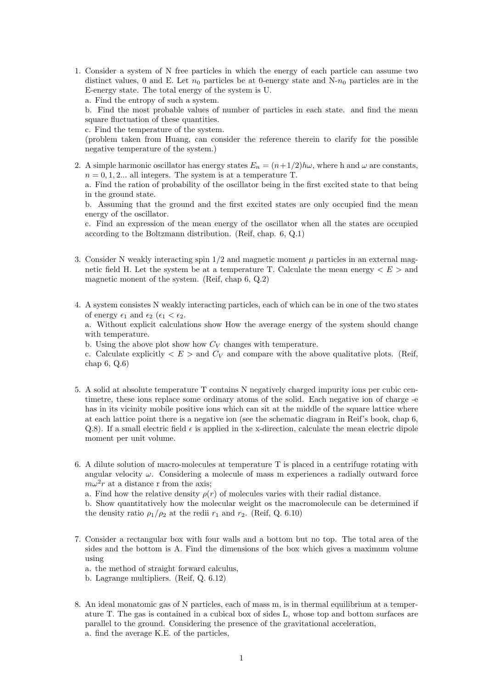1. Consider a system of N free particles in which the energy of each particle can assume two distinct values, 0 and E. Let  $n_0$  particles be at 0-energy state and N- $n_0$  particles are in the E-energy state. The total energy of the system is U.

a. Find the entropy of such a system.

b. Find the most probable values of number of particles in each state. and find the mean square fluctuation of these quantities.

c. Find the temperature of the system.

(problem taken from Huang, can consider the reference therein to clarify for the possible negative temperature of the system.)

2. A simple harmonic oscillator has energy states  $E_n = (n+1/2)h\omega$ , where h and  $\omega$  are constants,  $n = 0, 1, 2...$  all integers. The system is at a temperature T.

a. Find the ration of probability of the oscillator being in the first excited state to that being in the ground state.

b. Assuming that the ground and the first excited states are only occupied find the mean energy of the oscillator.

c. Find an expression of the mean energy of the oscillator when all the states are occupied according to the Boltzmann distribution. (Reif, chap. 6, Q.1)

- 3. Consider N weakly interacting spin  $1/2$  and magnetic moment  $\mu$  particles in an external magnetic field H. Let the system be at a temperature T. Calculate the mean energy  $\langle E \rangle$  and magnetic monent of the system. (Reif, chap 6, Q.2)
- 4. A system consistes N weakly interacting particles, each of which can be in one of the two states of energy  $\epsilon_1$  and  $\epsilon_2$  ( $\epsilon_1 < \epsilon_2$ .

a. Without explicit calculations show How the average energy of the system should change with temperature.

b. Using the above plot show how  $C_V$  changes with temperature.

c. Calculate explicitly  $\langle E \rangle$  and  $C_V$  and compare with the above qualitative plots. (Reif, chap 6, Q.6)

- 5. A solid at absolute temperature T contains N negatively charged impurity ions per cubic centimetre, these ions replace some ordinary atoms of the solid. Each negative ion of charge -e has in its vicinity mobile positive ions which can sit at the middle of the square lattice where at each lattice point there is a negative ion (see the schematic diagram in Reif's book, chap 6, Q.8). If a small electric field  $\epsilon$  is applied in the x-direction, calculate the mean electric dipole moment per unit volume.
- 6. A dilute solution of macro-molecules at temperature T is placed in a centrifuge rotating with angular velocity  $\omega$ . Considering a molecule of mass m experiences a radially outward force  $m\omega^2 r$  at a distance r from the axis;

a. Find how the relative density  $\rho(r)$  of molecules varies with their radial distance.

b. Show quantitatively how the molecular weight os the macromolecule can be determined if the density ratio  $\rho_1/\rho_2$  at the redii  $r_1$  and  $r_2$ . (Reif, Q. 6.10)

7. Consider a rectangular box with four walls and a bottom but no top. The total area of the sides and the bottom is A. Find the dimensions of the box which gives a maximum volume using

a. the method of straight forward calculus,

- b. Lagrange multipliers. (Reif, Q. 6.12)
- 8. An ideal monatomic gas of N particles, each of mass m, is in thermal equilibrium at a temperature T. The gas is contained in a cubical box of sides L, whose top and bottom surfaces are parallel to the ground. Considering the presence of the gravitational acceleration, a. find the average K.E. of the particles,